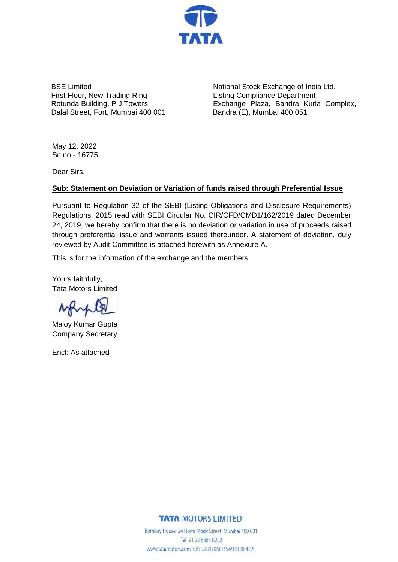

BSE Limited First Floor, New Trading Ring Rotunda Building, P J Towers, Dalal Street, Fort, Mumbai 400 001

National Stock Exchange of India Ltd. Listing Compliance Department Exchange Plaza, Bandra Kurla Complex, Bandra (E), Mumbai 400 051

May 12, 2022 Sc no - 16775

Dear Sirs,

## **Sub: Statement on Deviation or Variation of funds raised through Preferential Issue**

Pursuant to Regulation 32 of the SEBI (Listing Obligations and Disclosure Requirements) Regulations, 2015 read with SEBI Circular No. CIR/CFD/CMD1/162/2019 dated December 24, 2019, we hereby confirm that there is no deviation or variation in use of proceeds raised through preferential issue and warrants issued thereunder. A statement of deviation, duly reviewed by Audit Committee is attached herewith as Annexure A.

This is for the information of the exchange and the members.

Yours faithfully, Tata Motors Limited

MAMB

Maloy Kumar Gupta Company Secretary

Encl: As attached

## **TATA MOTORS LIMITED**

Bombay House 24 Homi Mody Street Mumbai 400 001 Tel 91 22 6665 8282 www.tatamotors.com CIN L28920MH1945PLC004520